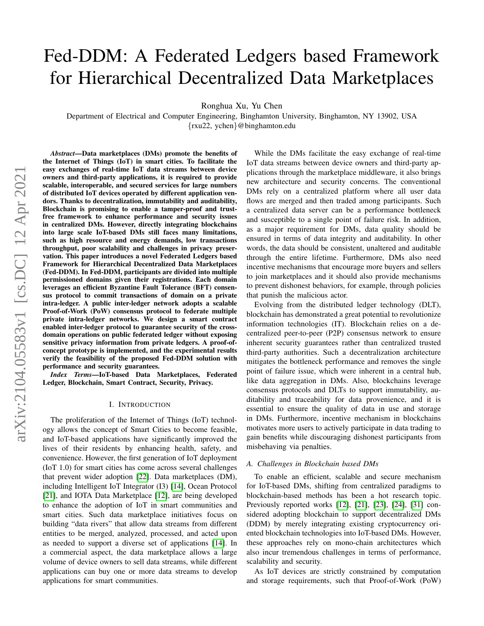# Fed-DDM: A Federated Ledgers based Framework for Hierarchical Decentralized Data Marketplaces

Ronghua Xu, Yu Chen

Department of Electrical and Computer Engineering, Binghamton University, Binghamton, NY 13902, USA {rxu22, ychen}@binghamton.edu

*Abstract*—Data marketplaces (DMs) promote the benefits of the Internet of Things (IoT) in smart cities. To facilitate the easy exchanges of real-time IoT data streams between device owners and third-party applications, it is required to provide scalable, interoperable, and secured services for large numbers of distributed IoT devices operated by different application vendors. Thanks to decentralization, immutability and auditability, Blockchain is promising to enable a tamper-proof and trustfree framework to enhance performance and security issues in centralized DMs. However, directly integrating blockchains into large scale IoT-based DMs still faces many limitations, such as high resource and energy demands, low transactions throughput, poor scalability and challenges in privacy preservation. This paper introduces a novel Federated Ledgers based Framework for Hierarchical Decentralized Data Marketplaces (Fed-DDM). In Fed-DDM, participants are divided into multiple permissioned domains given their registrations. Each domain leverages an efficient Byzantine Fault Tolerance (BFT) consensus protocol to commit transactions of domain on a private intra-ledger. A public inter-ledger network adopts a scalable Proof-of-Work (PoW) consensus protocol to federate multiple private intra-ledger networks. We design a smart contract enabled inter-ledger protocol to guarantee security of the crossdomain operations on public federated ledger without exposing sensitive privacy information from private ledgers. A proof-ofconcept prototype is implemented, and the experimental results verify the feasibility of the proposed Fed-DDM solution with performance and security guarantees.

*Index Terms*—IoT-based Data Marketplaces, Federated Ledger, Blockchain, Smart Contract, Security, Privacy.

# I. INTRODUCTION

The proliferation of the Internet of Things (IoT) technology allows the concept of Smart Cities to become feasible, and IoT-based applications have significantly improved the lives of their residents by enhancing health, safety, and convenience. However, the first generation of IoT deployment (IoT 1.0) for smart cities has come across several challenges that prevent wider adoption [\[22\]](#page-7-0). Data marketplaces (DM), including Intelligent IoT Integrator (I3) [\[14\]](#page-7-1), Ocean Protocol [\[21\]](#page-7-2), and IOTA Data Marketplace [\[12\]](#page-7-3), are being developed to enhance the adoption of IoT in smart communities and smart cities. Such data marketplace initiatives focus on building "data rivers" that allow data streams from different entities to be merged, analyzed, processed, and acted upon as needed to support a diverse set of applications [\[14\]](#page-7-1). In a commercial aspect, the data marketplace allows a large volume of device owners to sell data streams, while different applications can buy one or more data streams to develop applications for smart communities.

While the DMs facilitate the easy exchange of real-time IoT data streams between device owners and third-party applications through the marketplace middleware, it also brings new architecture and security concerns. The conventional DMs rely on a centralized platform where all user data flows are merged and then traded among participants. Such a centralized data server can be a performance bottleneck and susceptible to a single point of failure risk. In addition, as a major requirement for DMs, data quality should be ensured in terms of data integrity and auditability. In other words, the data should be consistent, unaltered and auditable through the entire lifetime. Furthermore, DMs also need incentive mechanisms that encourage more buyers and sellers to join marketplaces and it should also provide mechanisms to prevent dishonest behaviors, for example, through policies that punish the malicious actor.

Evolving from the distributed ledger technology (DLT), blockchain has demonstrated a great potential to revolutionize information technologies (IT). Blockchain relies on a decentralized peer-to-peer (P2P) consensus network to ensure inherent security guarantees rather than centralized trusted third-party authorities. Such a decentralization architecture mitigates the bottleneck performance and removes the single point of failure issue, which were inherent in a central hub, like data aggregation in DMs. Also, blockchains leverage consensus protocols and DLTs to support immutability, auditability and traceability for data provenience, and it is essential to ensure the quality of data in use and storage in DMs. Furthermore, incentive mechanism in blockchains motivates more users to actively participate in data trading to gain benefits while discouraging dishonest participants from misbehaving via penalties.

# *A. Challenges in Blockchain based DMs*

To enable an efficient, scalable and secure mechanism for IoT-based DMs, shifting from centralized paradigms to blockchain-based methods has been a hot research topic. Previously reported works [\[12\]](#page-7-3), [\[21\]](#page-7-2), [\[23\]](#page-7-4), [\[24\]](#page-7-5), [\[31\]](#page-7-6) considered adopting blockchain to support decentralized DMs (DDM) by merely integrating existing cryptocurrency oriented blockchain technologies into IoT-based DMs. However, these approaches rely on mono-chain architectures which also incur tremendous challenges in terms of performance, scalability and security.

As IoT devices are strictly constrained by computation and storage requirements, such that Proof-of-Work (PoW)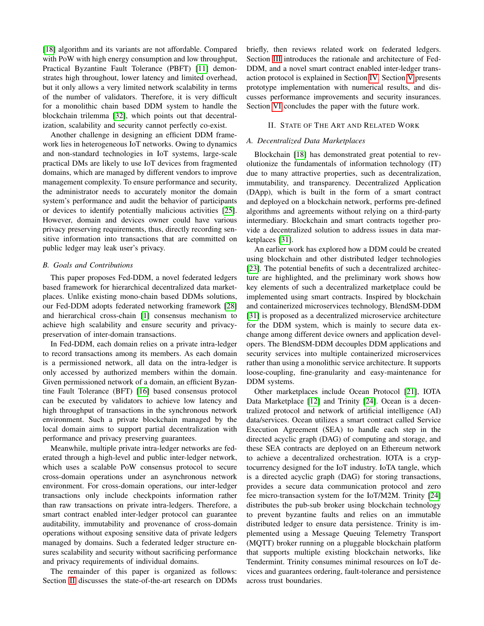[\[18\]](#page-7-7) algorithm and its variants are not affordable. Compared with PoW with high energy consumption and low throughput, Practical Byzantine Fault Tolerance (PBFT) [\[11\]](#page-7-8) demonstrates high throughout, lower latency and limited overhead, but it only allows a very limited network scalability in terms of the number of validators. Therefore, it is very difficult for a monolithic chain based DDM system to handle the blockchain trilemma [\[32\]](#page-7-9), which points out that decentralization, scalability and security cannot perfectly co-exist.

Another challenge in designing an efficient DDM framework lies in heterogeneous IoT networks. Owing to dynamics and non-standard technologies in IoT systems, large-scale practical DMs are likely to use IoT devices from fragmented domains, which are managed by different vendors to improve management complexity. To ensure performance and security, the administrator needs to accurately monitor the domain system's performance and audit the behavior of participants or devices to identify potentially malicious activities [\[25\]](#page-7-10). However, domain and devices owner could have various privacy preserving requirements, thus, directly recording sensitive information into transactions that are committed on public ledger may leak user's privacy.

# *B. Goals and Contributions*

This paper proposes Fed-DDM, a novel federated ledgers based framework for hierarchical decentralized data marketplaces. Unlike existing mono-chain based DDMs solutions, our Fed-DDM adopts federated networking framework [\[28\]](#page-7-11) and hierarchical cross-chain [\[1\]](#page-7-12) consensus mechanism to achieve high scalability and ensure security and privacypreservation of inter-domain transactions.

In Fed-DDM, each domain relies on a private intra-ledger to record transactions among its members. As each domain is a permissioned network, all data on the intra-ledger is only accessed by authorized members within the domain. Given permissioned network of a domain, an efficient Byzantine Fault Tolerance (BFT) [\[16\]](#page-7-13) based consensus protocol can be executed by validators to achieve low latency and high throughput of transactions in the synchronous network environment. Such a private blockchain managed by the local domain aims to support partial decentralization with performance and privacy preserving guarantees.

Meanwhile, multiple private intra-ledger networks are federated through a high-level and public inter-ledger network, which uses a scalable PoW consensus protocol to secure cross-domain operations under an asynchronous network environment. For cross-domain operations, our inter-ledger transactions only include checkpoints information rather than raw transactions on private intra-ledgers. Therefore, a smart contract enabled inter-ledger protocol can guarantee auditability, immutability and provenance of cross-domain operations without exposing sensitive data of private ledgers managed by domains. Such a federated ledger structure ensures scalability and security without sacrificing performance and privacy requirements of individual domains.

The remainder of this paper is organized as follows: Section [II](#page-1-0) discusses the state-of-the-art research on DDMs briefly, then reviews related work on federated ledgers. Section [III](#page-2-0) introduces the rationale and architecture of Fed-DDM, and a novel smart contract enabled inter-ledger transaction protocol is explained in Section [IV.](#page-4-0) Section [V](#page-5-0) presents prototype implementation with numerical results, and discusses performance improvements and security insurances. Section [VI](#page-7-14) concludes the paper with the future work.

# II. STATE OF THE ART AND RELATED WORK

# <span id="page-1-0"></span>*A. Decentralized Data Marketplaces*

Blockchain [\[18\]](#page-7-7) has demonstrated great potential to revolutionize the fundamentals of information technology (IT) due to many attractive properties, such as decentralization, immutability, and transparency. Decentralized Application (DApp), which is built in the form of a smart contract and deployed on a blockchain network, performs pre-defined algorithms and agreements without relying on a third-party intermediary. Blockchain and smart contracts together provide a decentralized solution to address issues in data marketplaces [\[31\]](#page-7-6).

An earlier work has explored how a DDM could be created using blockchain and other distributed ledger technologies [\[23\]](#page-7-4). The potential benefits of such a decentralized architecture are highlighted, and the preliminary work shows how key elements of such a decentralized marketplace could be implemented using smart contracts. Inspired by blockchain and containerized microservices technology, BlendSM-DDM [\[31\]](#page-7-6) is proposed as a decentralized microservice architecture for the DDM system, which is mainly to secure data exchange among different device owners and application developers. The BlendSM-DDM decouples DDM applications and security services into multiple containerized microservices rather than using a monolithic service architecture. It supports loose-coupling, fine-granularity and easy-maintenance for DDM systems.

Other marketplaces include Ocean Protocol [\[21\]](#page-7-2), IOTA Data Marketplace [\[12\]](#page-7-3) and Trinity [\[24\]](#page-7-5). Ocean is a decentralized protocol and network of artificial intelligence (AI) data/services. Ocean utilizes a smart contract called Service Execution Agreement (SEA) to handle each step in the directed acyclic graph (DAG) of computing and storage, and these SEA contracts are deployed on an Ethereum network to achieve a decentralized orchestration. IOTA is a cryptocurrency designed for the IoT industry. IoTA tangle, which is a directed acyclic graph (DAG) for storing transactions, provides a secure data communication protocol and zero fee micro-transaction system for the IoT/M2M. Trinity [\[24\]](#page-7-5) distributes the pub-sub broker using blockchain technology to prevent byzantine faults and relies on an immutable distributed ledger to ensure data persistence. Trinity is implemented using a Message Queuing Telemetry Transport (MQTT) broker running on a pluggable blockchain platform that supports multiple existing blockchain networks, like Tendermint. Trinity consumes minimal resources on IoT devices and guarantees ordering, fault-tolerance and persistence across trust boundaries.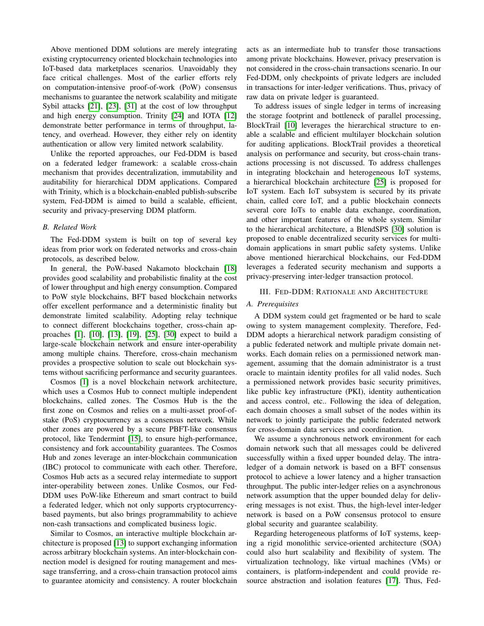Above mentioned DDM solutions are merely integrating existing cryptocurrency oriented blockchain technologies into IoT-based data marketplaces scenarios. Unavoidably they face critical challenges. Most of the earlier efforts rely on computation-intensive proof-of-work (PoW) consensus mechanisms to guarantee the network scalability and mitigate Sybil attacks [\[21\]](#page-7-2), [\[23\]](#page-7-4), [\[31\]](#page-7-6) at the cost of low throughput and high energy consumption. Trinity [\[24\]](#page-7-5) and IOTA [\[12\]](#page-7-3) demonstrate better performance in terms of throughput, latency, and overhead. However, they either rely on identity authentication or allow very limited network scalability.

Unlike the reported approaches, our Fed-DDM is based on a federated ledger framework: a scalable cross-chain mechanism that provides decentralization, immutability and auditability for hierarchical DDM applications. Compared with Trinity, which is a blockchain-enabled publish-subscribe system, Fed-DDM is aimed to build a scalable, efficient, security and privacy-preserving DDM platform.

# *B. Related Work*

The Fed-DDM system is built on top of several key ideas from prior work on federated networks and cross-chain protocols, as described below.

In general, the PoW-based Nakamoto blockchain [\[18\]](#page-7-7) provides good scalability and probabilistic finality at the cost of lower throughput and high energy consumption. Compared to PoW style blockchains, BFT based blockchain networks offer excellent performance and a deterministic finality but demonstrate limited scalability. Adopting relay technique to connect different blockchains together, cross-chain approaches [\[1\]](#page-7-12), [\[10\]](#page-7-15), [\[13\]](#page-7-16), [\[19\]](#page-7-17), [\[25\]](#page-7-10), [\[30\]](#page-7-18) expect to build a large-scale blockchain network and ensure inter-operability among multiple chains. Therefore, cross-chain mechanism provides a prospective solution to scale out blockchain systems without sacrificing performance and security guarantees.

Cosmos [\[1\]](#page-7-12) is a novel blockchain network architecture, which uses a Cosmos Hub to connect multiple independent blockchains, called zones. The Cosmos Hub is the the first zone on Cosmos and relies on a multi-asset proof-ofstake (PoS) cryptocurrency as a consensus network. While other zones are powered by a secure PBFT-like consensus protocol, like Tendermint [\[15\]](#page-7-19), to ensure high-performance, consistency and fork accountability guarantees. The Cosmos Hub and zones leverage an inter-blockchain communication (IBC) protocol to communicate with each other. Therefore, Cosmos Hub acts as a secured relay intermediate to support inter-operability between zones. Unlike Cosmos, our Fed-DDM uses PoW-like Ethereum and smart contract to build a federated ledger, which not only supports cryptocurrencybased payments, but also brings programmability to achieve non-cash transactions and complicated business logic.

Similar to Cosmos, an interactive multiple blockchain architecture is proposed [\[13\]](#page-7-16) to support exchanging information across arbitrary blockchain systems. An inter-blockchain connection model is designed for routing management and message transferring, and a cross-chain transaction protocol aims to guarantee atomicity and consistency. A router blockchain acts as an intermediate hub to transfer those transactions among private blockchains. However, privacy preservation is not considered in the cross-chain transactions scenario. In our Fed-DDM, only checkpoints of private ledgers are included in transactions for inter-ledger verifications. Thus, privacy of raw data on private ledger is guaranteed.

To address issues of single ledger in terms of increasing the storage footprint and bottleneck of parallel processing, BlockTrail [\[10\]](#page-7-15) leverages the hierarchical structure to enable a scalable and efficient multilayer blockchain solution for auditing applications. BlockTrail provides a theoretical analysis on performance and security, but cross-chain transactions processing is not discussed. To address challenges in integrating blockchain and heterogeneous IoT systems, a hierarchical blockchain architecture [\[25\]](#page-7-10) is proposed for IoT system. Each IoT subsystem is secured by its private chain, called core IoT, and a public blockchain connects several core IoTs to enable data exchange, coordination, and other important features of the whole system. Similar to the hierarchical architecture, a BlendSPS [\[30\]](#page-7-18) solution is proposed to enable decentralized security services for multidomain applications in smart public safety systems. Unlike above mentioned hierarchical blockchains, our Fed-DDM leverages a federated security mechanism and supports a privacy-preserving inter-ledger transaction protocol.

# <span id="page-2-0"></span>III. FED-DDM: RATIONALE AND ARCHITECTURE

#### *A. Prerequisites*

A DDM system could get fragmented or be hard to scale owing to system management complexity. Therefore, Fed-DDM adopts a hierarchical network paradigm consisting of a public federated network and multiple private domain networks. Each domain relies on a permissioned network management, assuming that the domain administrator is a trust oracle to maintain identity profiles for all valid nodes. Such a permissioned network provides basic security primitives, like public key infrastructure (PKI), identity authentication and access control, etc.. Following the idea of delegation, each domain chooses a small subset of the nodes within its network to jointly participate the public federated network for cross-domain data services and coordination.

We assume a synchronous network environment for each domain network such that all messages could be delivered successfully within a fixed upper bounded delay. The intraledger of a domain network is based on a BFT consensus protocol to achieve a lower latency and a higher transaction throughput. The public inter-ledger relies on a asynchronous network assumption that the upper bounded delay for delivering messages is not exist. Thus, the high-level inter-ledger network is based on a PoW consensus protocol to ensure global security and guarantee scalability.

Regarding heterogeneous platforms of IoT systems, keeping a rigid monolithic service-oriented architecture (SOA) could also hurt scalability and flexibility of system. The virtualization technology, like virtual machines (VMs) or containers, is platform-independent and could provide resource abstraction and isolation features [\[17\]](#page-7-20). Thus, Fed-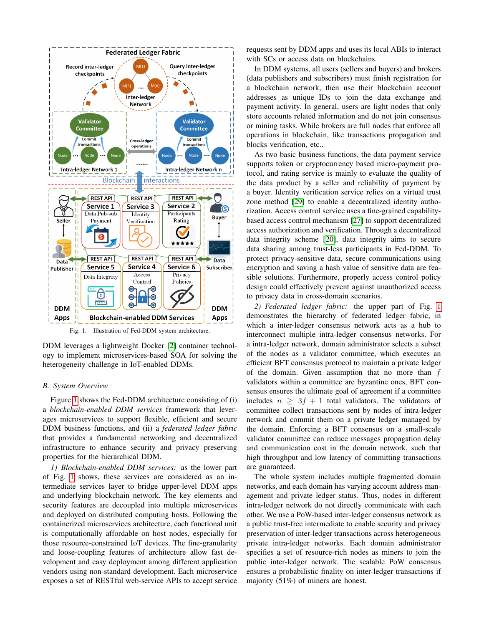

<span id="page-3-0"></span>Fig. 1. Illustration of Fed-DDM system architecture.

DDM leverages a lightweight Docker [\[2\]](#page-7-21) container technology to implement microservices-based SOA for solving the heterogeneity challenge in IoT-enabled DDMs.

# *B. System Overview*

Figure [1](#page-3-0) shows the Fed-DDM architecture consisting of (i) a *blockchain-enabled DDM services* framework that leverages microservices to support flexible, efficient and secure DDM business functions, and (ii) a *federated ledger fabric* that provides a fundamental networking and decentralized infrastructure to enhance security and privacy preserving properties for the hierarchical DDM.

*1) Blockchain-enabled DDM services:* as the lower part of Fig. [1](#page-3-0) shows, these services are considered as an intermediate services layer to bridge upper-level DDM apps and underlying blockchain network. The key elements and security features are decoupled into multiple microservices and deployed on distributed computing hosts. Following the containerized microservices architecture, each functional unit is computationally affordable on host nodes, especially for those resource-constrained IoT devices. The fine-granularity and loose-coupling features of architecture allow fast development and easy deployment among different application vendors using non-standard development. Each microservice exposes a set of RESTful web-service APIs to accept service

requests sent by DDM apps and uses its local ABIs to interact with SCs or access data on blockchains.

In DDM systems, all users (sellers and buyers) and brokers (data publishers and subscribers) must finish registration for a blockchain network, then use their blockchain account addresses as unique IDs to join the data exchange and payment activity. In general, users are light nodes that only store accounts related information and do not join consensus or mining tasks. While brokers are full nodes that enforce all operations in blockchain, like transactions propagation and blocks verification, etc..

As two basic business functions, the data payment service supports token or cryptocurrency based micro-payment protocol, and rating service is mainly to evaluate the quality of the data product by a seller and reliability of payment by a buyer. Identity verification service relies on a virtual trust zone method [\[29\]](#page-7-22) to enable a decentralized identity authorization. Access control service uses a fine-grained capabilitybased access control mechanism [\[27\]](#page-7-23) to support decentralized access authorization and verification. Through a decentralized data integrity scheme [\[20\]](#page-7-24), data integrity aims to secure data sharing among trust-less participants in Fed-DDM. To protect privacy-sensitive data, secure communications using encryption and saving a hash value of sensitive data are feasible solutions. Furthermore, properly access control policy design could effectively prevent against unauthorized access to privacy data in cross-domain scenarios.

*2) Federated ledger fabric:* the upper part of Fig. [1](#page-3-0) demonstrates the hierarchy of federated ledger fabric, in which a inter-ledger consensus network acts as a hub to interconnect multiple intra-ledger consensus networks. For a intra-ledger network, domain administrator selects a subset of the nodes as a validator committee, which executes an efficient BFT consensus protocol to maintain a private ledger of the domain. Given assumption that no more than  $f$ validators within a committee are byzantine ones, BFT consensus ensures the ultimate goal of agreement if a committee includes  $n \geq 3f + 1$  total validators. The validators of committee collect transactions sent by nodes of intra-ledger network and commit them on a private ledger managed by the domain. Enforcing a BFT consensus on a small-scale validator committee can reduce messages propagation delay and communication cost in the domain network, such that high throughput and low latency of committing transactions are guaranteed.

The whole system includes multiple fragmented domain networks, and each domain has varying account address management and private ledger status. Thus, nodes in different intra-ledger network do not directly communicate with each other. We use a PoW-based inter-ledger consensus network as a public trust-free intermediate to enable security and privacy preservation of inter-ledger transactions across heterogeneous private intra-ledger networks. Each domain administrator specifies a set of resource-rich nodes as miners to join the public inter-ledger network. The scalable PoW consensus ensures a probabilistic finality on inter-ledger transactions if majority (51%) of miners are honest.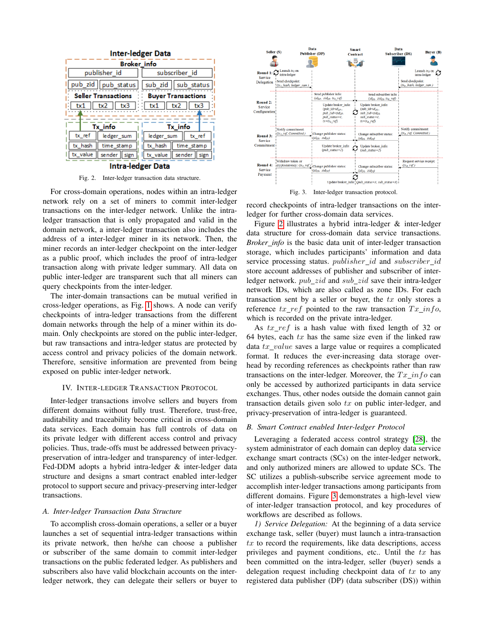

<span id="page-4-1"></span>**Intra-ledger Data** 

Fig. 2. Inter-ledger transaction data structure.

For cross-domain operations, nodes within an intra-ledger network rely on a set of miners to commit inter-ledger transactions on the inter-ledger network. Unlike the intraledger transaction that is only propagated and valid in the domain network, a inter-ledger transaction also includes the address of a inter-ledger miner in its network. Then, the miner records an inter-ledger checkpoint on the inter-ledger as a public proof, which includes the proof of intra-ledger transaction along with private ledger summary. All data on public inter-ledger are transparent such that all miners can query checkpoints from the inter-ledger.

The inter-domain transactions can be mutual verified in cross-ledger operations, as Fig. [1](#page-3-0) shows. A node can verify checkpoints of intra-ledger transactions from the different domain networks through the help of a miner within its domain. Only checkpoints are stored on the public inter-ledger, but raw transactions and intra-ledger status are protected by access control and privacy policies of the domain network. Therefore, sensitive information are prevented from being exposed on public inter-ledger network.

#### IV. INTER-LEDGER TRANSACTION PROTOCOL

<span id="page-4-0"></span>Inter-ledger transactions involve sellers and buyers from different domains without fully trust. Therefore, trust-free, auditability and traceability become critical in cross-domain data services. Each domain has full controls of data on its private ledger with different access control and privacy policies. Thus, trade-offs must be addressed between privacypreservation of intra-ledger and transparency of inter-ledger. Fed-DDM adopts a hybrid intra-ledger & inter-ledger data structure and designs a smart contract enabled inter-ledger protocol to support secure and privacy-preserving inter-ledger transactions.

# *A. Inter-ledger Transaction Data Structure*

To accomplish cross-domain operations, a seller or a buyer launches a set of sequential intra-ledger transactions within its private network, then he/she can choose a publisher or subscriber of the same domain to commit inter-ledger transactions on the public federated ledger. As publishers and subscribers also have valid blockchain accounts on the interledger network, they can delegate their sellers or buyer to



<span id="page-4-2"></span>Fig. 3. Inter-ledger transaction protocol.

record checkpoints of intra-ledger transactions on the interledger for further cross-domain data services.

Figure [2](#page-4-1) illustrates a hybrid intra-ledger & inter-ledger data structure for cross-domain data service transactions. *Broker info* is the basic data unit of inter-ledger transaction storage, which includes participants' information and data service processing status. *publisher\_id* and *subscriber\_id* store account addresses of publisher and subscriber of interledger network.  $pub\_zid$  and  $sub\_zid$  save their intra-ledger network IDs, which are also called as zone IDs. For each transaction sent by a seller or buyer, the  $tx$  only stores a reference  $tx\_ref$  pointed to the raw transaction  $Tx\_inf$ , which is recorded on the private intra-ledger.

As tx ref is a hash value with fixed length of 32 or 64 bytes, each  $tx$  has the same size even if the linked raw data  $tx$  value saves a large value or requires a complicated format. It reduces the ever-increasing data storage overhead by recording references as checkpoints rather than raw transactions on the inter-ledger. Moreover, the  $Tx\_info$  can only be accessed by authorized participants in data service exchanges. Thus, other nodes outside the domain cannot gain transaction details given solo  $tx$  on public inter-ledger, and privacy-preservation of intra-ledger is guaranteed.

#### *B. Smart Contract enabled Inter-ledger Protocol*

Leveraging a federated access control strategy [\[28\]](#page-7-11), the system administrator of each domain can deploy data service exchange smart contracts (SCs) on the inter-ledger network, and only authorized miners are allowed to update SCs. The SC utilizes a publish-subscribe service agreement mode to accomplish inter-ledger transactions among participants from different domains. Figure [3](#page-4-2) demonstrates a high-level view of inter-ledger transaction protocol, and key procedures of workflows are described as follows.

*1) Service Delegation:* At the beginning of a data service exchange task, seller (buyer) must launch a intra-transaction  $tx$  to record the requirements, like data descriptions, access privileges and payment conditions, etc.. Until the  $tx$  has been committed on the intra-ledger, seller (buyer) sends a delegation request including checkpoint data of  $tx$  to any registered data publisher (DP) (data subscriber (DS)) within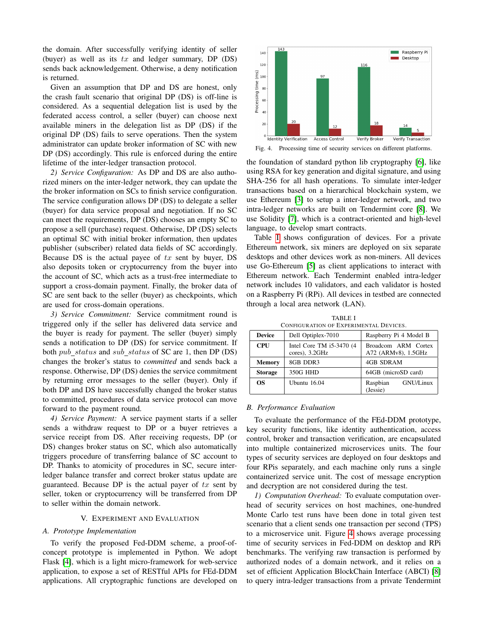the domain. After successfully verifying identity of seller (buyer) as well as its  $tx$  and ledger summary, DP (DS) sends back acknowledgement. Otherwise, a deny notification is returned.

Given an assumption that DP and DS are honest, only the crash fault scenario that original DP (DS) is off-line is considered. As a sequential delegation list is used by the federated access control, a seller (buyer) can choose next available miners in the delegation list as DP (DS) if the original DP (DS) fails to serve operations. Then the system administrator can update broker information of SC with new DP (DS) accordingly. This rule is enforced during the entire lifetime of the inter-ledger transaction protocol.

*2) Service Configuration:* As DP and DS are also authorized miners on the inter-ledger network, they can update the the broker information on SCs to finish service configuration. The service configuration allows DP (DS) to delegate a seller (buyer) for data service proposal and negotiation. If no SC can meet the requirements, DP (DS) chooses an empty SC to propose a sell (purchase) request. Otherwise, DP (DS) selects an optimal SC with initial broker information, then updates publisher (subscriber) related data fields of SC accordingly. Because DS is the actual payee of  $tx$  sent by buyer, DS also deposits token or cryptocurrency from the buyer into the account of SC, which acts as a trust-free intermediate to support a cross-domain payment. Finally, the broker data of SC are sent back to the seller (buyer) as checkpoints, which are used for cross-domain operations.

*3) Service Commitment:* Service commitment round is triggered only if the seller has delivered data service and the buyer is ready for payment. The seller (buyer) simply sends a notification to DP (DS) for service commitment. If both  $pub\_status$  and  $sub\_status$  of SC are 1, then DP (DS) changes the broker's status to *committed* and sends back a response. Otherwise, DP (DS) denies the service commitment by returning error messages to the seller (buyer). Only if both DP and DS have successfully changed the broker status to committed, procedures of data service protocol can move forward to the payment round.

*4) Service Payment:* A service payment starts if a seller sends a withdraw request to DP or a buyer retrieves a service receipt from DS. After receiving requests, DP (or DS) changes broker status on SC, which also automatically triggers procedure of transferring balance of SC account to DP. Thanks to atomicity of procedures in SC, secure interledger balance transfer and correct broker status update are guaranteed. Because DP is the actual payer of  $tx$  sent by seller, token or cryptocurrency will be transferred from DP to seller within the domain network.

# V. EXPERIMENT AND EVALUATION

#### <span id="page-5-0"></span>*A. Prototype Implementation*

To verify the proposed Fed-DDM scheme, a proof-ofconcept prototype is implemented in Python. We adopt Flask [\[4\]](#page-7-25), which is a light micro-framework for web-service application, to expose a set of RESTful APIs for FEd-DDM applications. All cryptographic functions are developed on



<span id="page-5-2"></span>Fig. 4. Processing time of security services on different platforms.

the foundation of standard python lib cryptography [\[6\]](#page-7-26), like using RSA for key generation and digital signature, and using SHA-256 for all hash operations. To simulate inter-ledger transactions based on a hierarchical blockchain system, we use Ethereum [\[3\]](#page-7-27) to setup a inter-ledger network, and two intra-ledger networks are built on Tendermint core [\[8\]](#page-7-28). We use Solidity [\[7\]](#page-7-29), which is a contract-oriented and high-level language, to develop smart contracts.

Table [I](#page-5-1) shows configuration of devices. For a private Ethereum network, six miners are deployed on six separate desktops and other devices work as non-miners. All devices use Go-Ethereum [\[5\]](#page-7-30) as client applications to interact with Ethereum network. Each Tendermint enabled intra-ledger network includes 10 validators, and each validator is hosted on a Raspberry Pi (RPi). All devices in testbed are connected through a local area network (LAN).

<span id="page-5-1"></span>

| CONFIGURATION OF EXPERIMENTAL DEVICES. |                                               |                                            |  |  |
|----------------------------------------|-----------------------------------------------|--------------------------------------------|--|--|
| <b>Device</b>                          | Dell Optiplex-7010                            | Raspberry Pi 4 Model B                     |  |  |
| <b>CPU</b>                             | Intel Core TM $i5-3470$ (4)<br>cores), 3.2GHz | Broadcom ARM Cortex<br>A72 (ARMv8), 1.5GHz |  |  |
| <b>Memory</b>                          | 8GB DDR3                                      | 4GB SDRAM                                  |  |  |
| <b>Storage</b>                         | 350G HHD                                      | 64GB (microSD card)                        |  |  |
| OS                                     | Ubuntu 16.04                                  | GNU/Linux<br>Raspbian<br>(Jessie)          |  |  |

TABLE I

### *B. Performance Evaluation*

To evaluate the performance of the FEd-DDM prototype, key security functions, like identity authentication, access control, broker and transaction verification, are encapsulated into multiple containerized microservices units. The four types of security services are deployed on four desktops and four RPis separately, and each machine only runs a single containerized service unit. The cost of message encryption and decryption are not considered during the test.

*1) Computation Overhead:* To evaluate computation overhead of security services on host machines, one-hundred Monte Carlo test runs have been done in total given test scenario that a client sends one transaction per second (TPS) to a microservice unit. Figure [4](#page-5-2) shows average processing time of security services in Fed-DDM on desktop and RPi benchmarks. The verifying raw transaction is performed by authorized nodes of a domain network, and it relies on a set of efficient Application BlockChain Interface (ABCI) [\[8\]](#page-7-28) to query intra-ledger transactions from a private Tendermint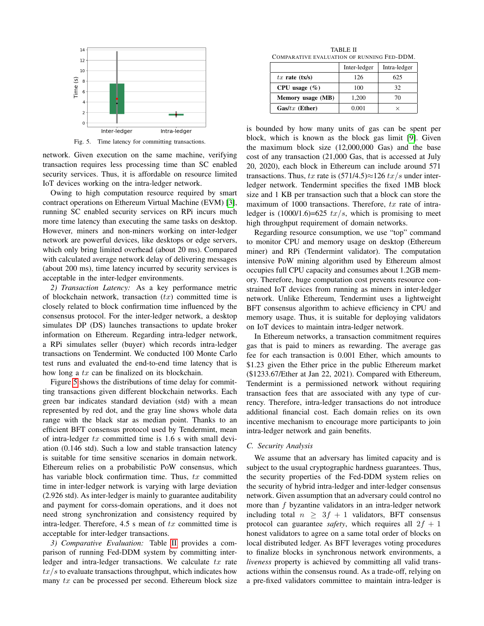

<span id="page-6-0"></span>Fig. 5. Time latency for committing transactions.

network. Given execution on the same machine, verifying transaction requires less processing time than SC enabled security services. Thus, it is affordable on resource limited IoT devices working on the intra-ledger network.

Owing to high computation resource required by smart contract operations on Ethereum Virtual Machine (EVM) [\[3\]](#page-7-27), running SC enabled security services on RPi incurs much more time latency than executing the same tasks on desktop. However, miners and non-miners working on inter-ledger network are powerful devices, like desktops or edge servers, which only bring limited overhead (about 20 ms). Compared with calculated average network delay of delivering messages (about 200 ms), time latency incurred by security services is acceptable in the inter-ledger environments.

*2) Transaction Latency:* As a key performance metric of blockchain network, transaction  $(tx)$  committed time is closely related to block confirmation time influenced by the consensus protocol. For the inter-ledger network, a desktop simulates DP (DS) launches transactions to update broker information on Ethereum. Regarding intra-ledger network, a RPi simulates seller (buyer) which records intra-ledger transactions on Tendermint. We conducted 100 Monte Carlo test runs and evaluated the end-to-end time latency that is how long a tx can be finalized on its blockchain.

Figure [5](#page-6-0) shows the distributions of time delay for committing transactions given different blockchain networks. Each green bar indicates standard deviation (std) with a mean represented by red dot, and the gray line shows whole data range with the black star as median point. Thanks to an efficient BFT consensus protocol used by Tendermint, mean of intra-ledger  $tx$  committed time is 1.6 s with small deviation (0.146 std). Such a low and stable transaction latency is suitable for time sensitive scenarios in domain network. Ethereum relies on a probabilistic PoW consensus, which has variable block confirmation time. Thus,  $tx$  committed time in inter-ledger network is varying with large deviation (2.926 std). As inter-ledger is mainly to guarantee auditability and payment for corss-domain operations, and it does not need strong synchronization and consistency required by intra-ledger. Therefore,  $4.5$  s mean of  $tx$  committed time is acceptable for inter-ledger transactions.

*3) Comparative Evaluation:* Table [II](#page-6-1) provides a comparison of running Fed-DDM system by committing interledger and intra-ledger transactions. We calculate  $tx$  rate  $tx/s$  to evaluate transactions throughput, which indicates how many  $tx$  can be processed per second. Ethereum block size

TABLE II COMPARATIVE EVALUATION OF RUNNING FED-DDM.

<span id="page-6-1"></span>

|                    | Inter-ledger | Intra-ledger |  |
|--------------------|--------------|--------------|--|
| $tx$ rate $(tx/s)$ | 126          | 625          |  |
| CPU usage $(\% )$  | 100          | 32           |  |
| Memory usage (MB)  | 1.200        | 70           |  |
| $Gas/tx$ (Ether)   | 0.001        |              |  |

is bounded by how many units of gas can be spent per block, which is known as the block gas limit [\[9\]](#page-7-31). Given the maximum block size (12,000,000 Gas) and the base cost of any transaction (21,000 Gas, that is accessed at July 20, 2020), each block in Ethereum can include around 571 transactions. Thus, tx rate is  $(571/4.5) \approx 126$  tx/s under interledger network. Tendermint specifies the fixed 1MB block size and 1 KB per transaction such that a block can store the maximum of 1000 transactions. Therefore,  $tx$  rate of intraledger is  $(1000/1.6) = 625$  tx/s, which is promising to meet high throughput requirement of domain networks.

Regarding resource consumption, we use "top" command to monitor CPU and memory usage on desktop (Ethereum miner) and RPi (Tendermint validator). The computation intensive PoW mining algorithm used by Ethereum almost occupies full CPU capacity and consumes about 1.2GB memory. Therefore, huge computation cost prevents resource constrained IoT devices from running as miners in inter-ledger network. Unlike Ethereum, Tendermint uses a lightweight BFT consensus algorithm to achieve efficiency in CPU and memory usage. Thus, it is suitable for deploying validators on IoT devices to maintain intra-ledger network.

In Ethereum networks, a transaction commitment requires gas that is paid to miners as rewarding. The average gas fee for each transaction is 0.001 Ether, which amounts to \$1.23 given the Ether price in the public Ethereum market (\$1233.67/Ether at Jan 22, 2021). Compared with Ethereum, Tendermint is a permissioned network without requiring transaction fees that are associated with any type of currency. Therefore, intra-ledger transactions do not introduce additional financial cost. Each domain relies on its own incentive mechanism to encourage more participants to join intra-ledger network and gain benefits.

#### *C. Security Analysis*

We assume that an adversary has limited capacity and is subject to the usual cryptographic hardness guarantees. Thus, the security properties of the Fed-DDM system relies on the security of hybrid intra-ledger and inter-ledger consensus network. Given assumption that an adversary could control no more than  $f$  byzantine validators in an intra-ledger network including total  $n \geq 3f + 1$  validators, BFT consensus protocol can guarantee *safety*, which requires all  $2f + 1$ honest validators to agree on a same total order of blocks on local distributed ledger. As BFT leverages voting procedures to finalize blocks in synchronous network environments, a *liveness* property is achieved by committing all valid transactions within the consensus round. As a trade-off, relying on a pre-fixed validators committee to maintain intra-ledger is